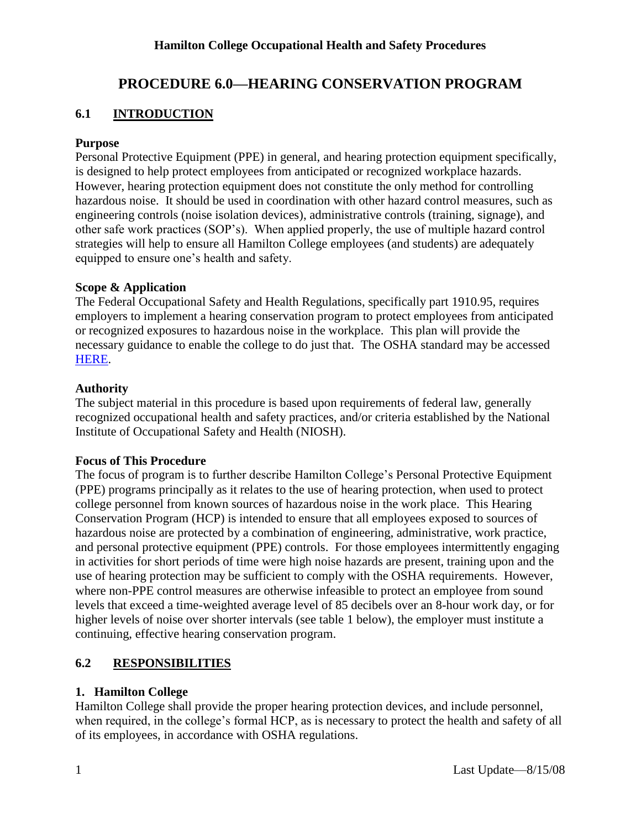#### **Hamilton College Occupational Health and Safety Procedures**

## **PROCEDURE 6.0—HEARING CONSERVATION PROGRAM**

### **6.1 INTRODUCTION**

#### **Purpose**

Personal Protective Equipment (PPE) in general, and hearing protection equipment specifically, is designed to help protect employees from anticipated or recognized workplace hazards. However, hearing protection equipment does not constitute the only method for controlling hazardous noise. It should be used in coordination with other hazard control measures, such as engineering controls (noise isolation devices), administrative controls (training, signage), and other safe work practices (SOP's). When applied properly, the use of multiple hazard control strategies will help to ensure all Hamilton College employees (and students) are adequately equipped to ensure one's health and safety.

#### **Scope & Application**

The Federal Occupational Safety and Health Regulations, specifically part 1910.95, requires employers to implement a hearing conservation program to protect employees from anticipated or recognized exposures to hazardous noise in the workplace. This plan will provide the necessary guidance to enable the college to do just that. The OSHA standard may be accessed [HERE.](http://www.osha.gov/pls/oshaweb/owadisp.show_document?p_table=STANDARDS&p_id=9735)

#### **Authority**

The subject material in this procedure is based upon requirements of federal law, generally recognized occupational health and safety practices, and/or criteria established by the National Institute of Occupational Safety and Health (NIOSH).

#### **Focus of This Procedure**

The focus of program is to further describe Hamilton College's Personal Protective Equipment (PPE) programs principally as it relates to the use of hearing protection, when used to protect college personnel from known sources of hazardous noise in the work place. This Hearing Conservation Program (HCP) is intended to ensure that all employees exposed to sources of hazardous noise are protected by a combination of engineering, administrative, work practice, and personal protective equipment (PPE) controls. For those employees intermittently engaging in activities for short periods of time were high noise hazards are present, training upon and the use of hearing protection may be sufficient to comply with the OSHA requirements. However, where non-PPE control measures are otherwise infeasible to protect an employee from sound levels that exceed a time-weighted average level of 85 decibels over an 8-hour work day, or for higher levels of noise over shorter intervals (see table 1 below), the employer must institute a continuing, effective hearing conservation program.

### **6.2 RESPONSIBILITIES**

#### **1. Hamilton College**

Hamilton College shall provide the proper hearing protection devices, and include personnel, when required, in the college's formal HCP, as is necessary to protect the health and safety of all of its employees, in accordance with OSHA regulations.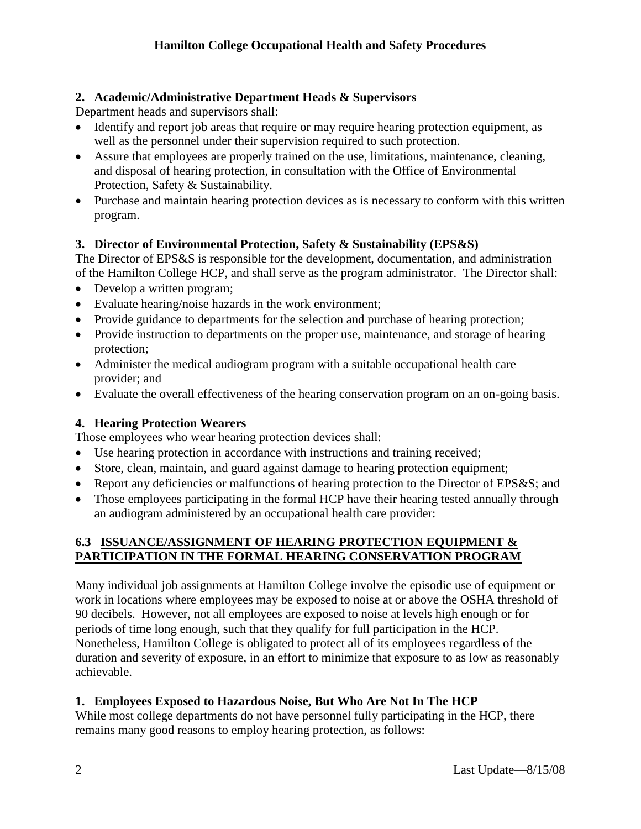### **2. Academic/Administrative Department Heads & Supervisors**

Department heads and supervisors shall:

- Identify and report job areas that require or may require hearing protection equipment, as well as the personnel under their supervision required to such protection.
- Assure that employees are properly trained on the use, limitations, maintenance, cleaning, and disposal of hearing protection, in consultation with the Office of Environmental Protection, Safety & Sustainability.
- Purchase and maintain hearing protection devices as is necessary to conform with this written program.

### **3. Director of Environmental Protection, Safety & Sustainability (EPS&S)**

The Director of EPS&S is responsible for the development, documentation, and administration of the Hamilton College HCP, and shall serve as the program administrator. The Director shall:

- Develop a written program;
- Evaluate hearing/noise hazards in the work environment;
- Provide guidance to departments for the selection and purchase of hearing protection;
- Provide instruction to departments on the proper use, maintenance, and storage of hearing protection;
- Administer the medical audiogram program with a suitable occupational health care provider; and
- Evaluate the overall effectiveness of the hearing conservation program on an on-going basis.

## **4. Hearing Protection Wearers**

Those employees who wear hearing protection devices shall:

- Use hearing protection in accordance with instructions and training received;
- Store, clean, maintain, and guard against damage to hearing protection equipment;
- Report any deficiencies or malfunctions of hearing protection to the Director of EPS&S; and
- Those employees participating in the formal HCP have their hearing tested annually through an audiogram administered by an occupational health care provider:

## **6.3 ISSUANCE/ASSIGNMENT OF HEARING PROTECTION EQUIPMENT & PARTICIPATION IN THE FORMAL HEARING CONSERVATION PROGRAM**

Many individual job assignments at Hamilton College involve the episodic use of equipment or work in locations where employees may be exposed to noise at or above the OSHA threshold of 90 decibels. However, not all employees are exposed to noise at levels high enough or for periods of time long enough, such that they qualify for full participation in the HCP. Nonetheless, Hamilton College is obligated to protect all of its employees regardless of the duration and severity of exposure, in an effort to minimize that exposure to as low as reasonably achievable.

## **1. Employees Exposed to Hazardous Noise, But Who Are Not In The HCP**

While most college departments do not have personnel fully participating in the HCP, there remains many good reasons to employ hearing protection, as follows: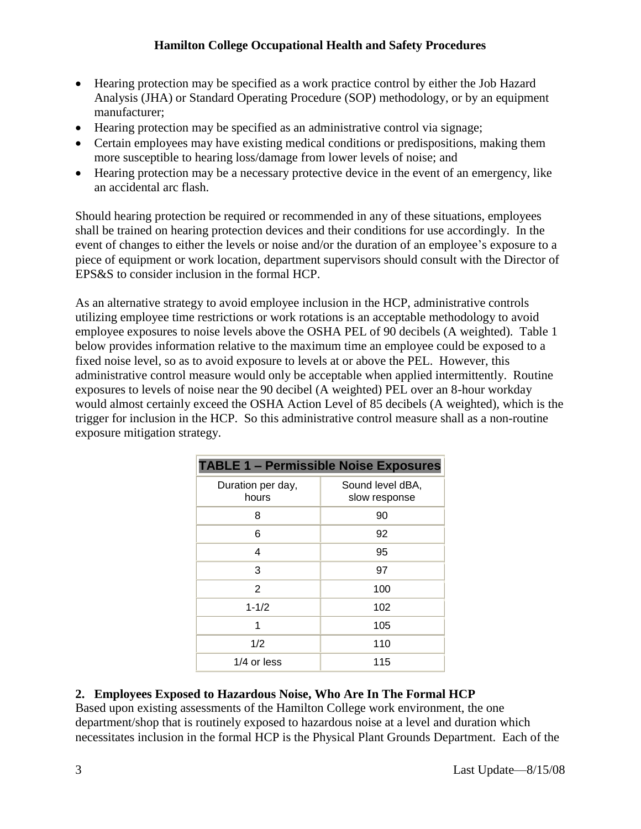### **Hamilton College Occupational Health and Safety Procedures**

- Hearing protection may be specified as a work practice control by either the Job Hazard Analysis (JHA) or Standard Operating Procedure (SOP) methodology, or by an equipment manufacturer;
- Hearing protection may be specified as an administrative control via signage;
- Certain employees may have existing medical conditions or predispositions, making them more susceptible to hearing loss/damage from lower levels of noise; and
- Hearing protection may be a necessary protective device in the event of an emergency, like an accidental arc flash.

Should hearing protection be required or recommended in any of these situations, employees shall be trained on hearing protection devices and their conditions for use accordingly. In the event of changes to either the levels or noise and/or the duration of an employee's exposure to a piece of equipment or work location, department supervisors should consult with the Director of EPS&S to consider inclusion in the formal HCP.

As an alternative strategy to avoid employee inclusion in the HCP, administrative controls utilizing employee time restrictions or work rotations is an acceptable methodology to avoid employee exposures to noise levels above the OSHA PEL of 90 decibels (A weighted). Table 1 below provides information relative to the maximum time an employee could be exposed to a fixed noise level, so as to avoid exposure to levels at or above the PEL. However, this administrative control measure would only be acceptable when applied intermittently. Routine exposures to levels of noise near the 90 decibel (A weighted) PEL over an 8-hour workday would almost certainly exceed the OSHA Action Level of 85 decibels (A weighted), which is the trigger for inclusion in the HCP. So this administrative control measure shall as a non-routine exposure mitigation strategy.

| <b>TABLE 1 - Permissible Noise Exposures</b> |                                   |
|----------------------------------------------|-----------------------------------|
| Duration per day,<br>hours                   | Sound level dBA,<br>slow response |
| 8                                            | 90                                |
| 6                                            | 92                                |
| 4                                            | 95                                |
| 3                                            | 97                                |
| 2                                            | 100                               |
| $1 - 1/2$                                    | 102                               |
| 1                                            | 105                               |
| 1/2                                          | 110                               |
| $1/4$ or less                                | 115                               |

## **2. Employees Exposed to Hazardous Noise, Who Are In The Formal HCP**

Based upon existing assessments of the Hamilton College work environment, the one department/shop that is routinely exposed to hazardous noise at a level and duration which necessitates inclusion in the formal HCP is the Physical Plant Grounds Department. Each of the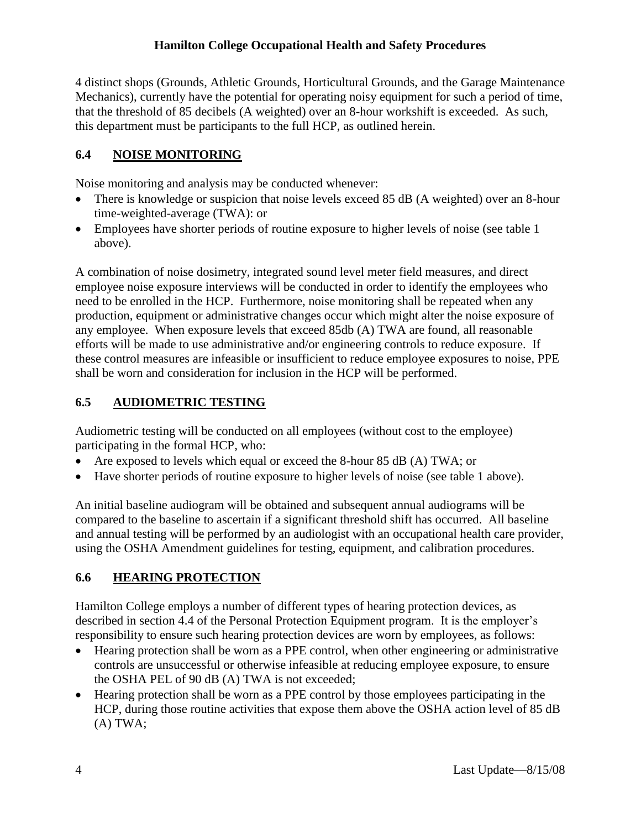### **Hamilton College Occupational Health and Safety Procedures**

4 distinct shops (Grounds, Athletic Grounds, Horticultural Grounds, and the Garage Maintenance Mechanics), currently have the potential for operating noisy equipment for such a period of time, that the threshold of 85 decibels (A weighted) over an 8-hour workshift is exceeded. As such, this department must be participants to the full HCP, as outlined herein.

### **6.4 NOISE MONITORING**

Noise monitoring and analysis may be conducted whenever:

- There is knowledge or suspicion that noise levels exceed 85 dB (A weighted) over an 8-hour time-weighted-average (TWA): or
- Employees have shorter periods of routine exposure to higher levels of noise (see table 1 above).

A combination of noise dosimetry, integrated sound level meter field measures, and direct employee noise exposure interviews will be conducted in order to identify the employees who need to be enrolled in the HCP. Furthermore, noise monitoring shall be repeated when any production, equipment or administrative changes occur which might alter the noise exposure of any employee. When exposure levels that exceed 85db (A) TWA are found, all reasonable efforts will be made to use administrative and/or engineering controls to reduce exposure. If these control measures are infeasible or insufficient to reduce employee exposures to noise, PPE shall be worn and consideration for inclusion in the HCP will be performed.

## **6.5 AUDIOMETRIC TESTING**

Audiometric testing will be conducted on all employees (without cost to the employee) participating in the formal HCP, who:

- Are exposed to levels which equal or exceed the 8-hour 85 dB (A) TWA; or
- Have shorter periods of routine exposure to higher levels of noise (see table 1 above).

An initial baseline audiogram will be obtained and subsequent annual audiograms will be compared to the baseline to ascertain if a significant threshold shift has occurred. All baseline and annual testing will be performed by an audiologist with an occupational health care provider, using the OSHA Amendment guidelines for testing, equipment, and calibration procedures.

### **6.6 HEARING PROTECTION**

Hamilton College employs a number of different types of hearing protection devices, as described in section 4.4 of the Personal Protection Equipment program. It is the employer's responsibility to ensure such hearing protection devices are worn by employees, as follows:

- Hearing protection shall be worn as a PPE control, when other engineering or administrative controls are unsuccessful or otherwise infeasible at reducing employee exposure, to ensure the OSHA PEL of 90 dB (A) TWA is not exceeded;
- Hearing protection shall be worn as a PPE control by those employees participating in the HCP, during those routine activities that expose them above the OSHA action level of 85 dB (A) TWA;